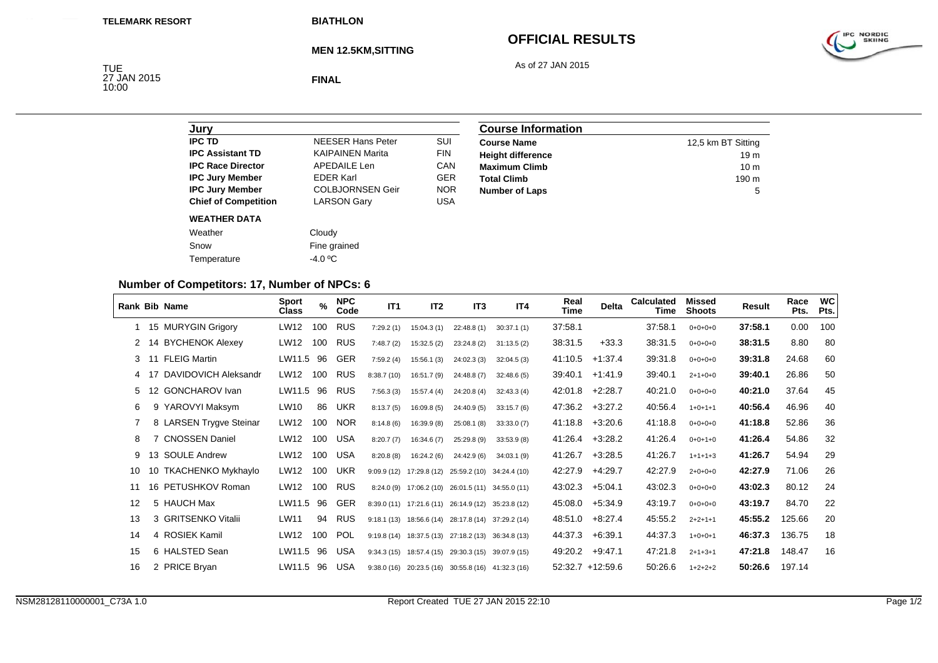**BIATHLON**

## **OFFICIAL RESULTS**

As of 27 JAN 2015



**MEN 12.5KM,SITTING**

TUE<br>27 JAN 2015<br>10:00

**FINAL**

| Jurv                        |                          |            |
|-----------------------------|--------------------------|------------|
| <b>IPC TD</b>               | <b>NFFSFR Hans Peter</b> | SUI        |
| <b>IPC Assistant TD</b>     | <b>KAIPAINEN Marita</b>  | <b>FIN</b> |
| <b>IPC Race Director</b>    | <b>APEDAILE Len</b>      | CAN        |
| <b>IPC Jury Member</b>      | <b>FDFR Karl</b>         | <b>GER</b> |
| <b>IPC Jury Member</b>      | <b>COLBJORNSEN Geir</b>  | <b>NOR</b> |
| <b>Chief of Competition</b> | <b>LARSON Gary</b>       | USA        |
| <b>WEATHER DATA</b>         |                          |            |
| Weather                     | Cloudy                   |            |
| Snow                        | Fine grained             |            |
| Temperature                 | -4.0 °C                  |            |

| <b>Course Information</b> |                    |  |  |  |  |
|---------------------------|--------------------|--|--|--|--|
| <b>Course Name</b>        | 12,5 km BT Sitting |  |  |  |  |
| <b>Height difference</b>  | 19 <sub>m</sub>    |  |  |  |  |
| <b>Maximum Climb</b>      | 10 <sub>m</sub>    |  |  |  |  |
| <b>Total Climb</b>        | 190 <sub>m</sub>   |  |  |  |  |
| <b>Number of Laps</b>     | 5                  |  |  |  |  |

### **Number of Competitors: 17, Number of NPCs: 6**

|    |      | Rank Bib Name           | <b>Sport</b><br><b>Class</b> | $\%$ | <b>NPC</b><br>Code | IT1        | IT <sub>2</sub> | IT <sub>3</sub>                                    | IT4        | Real<br>Time | <b>Delta</b>       | <b>Calculated</b><br>Time | <b>Missed</b><br><b>Shoots</b> | Result  | Race<br>Pts. | <b>WC</b><br>Pts. |
|----|------|-------------------------|------------------------------|------|--------------------|------------|-----------------|----------------------------------------------------|------------|--------------|--------------------|---------------------------|--------------------------------|---------|--------------|-------------------|
|    |      | 15 MURYGIN Grigory      | LW12                         | 100  | <b>RUS</b>         | 7:29.2(1)  | 15:04.3(1)      | 22:48.8(1)                                         | 30:37.1(1) | 37:58.1      |                    | 37:58.1                   | $0+0+0+0$                      | 37:58.1 | 0.00         | 100               |
|    | -14  | <b>BYCHENOK Alexey</b>  | LW12                         | 100  | <b>RUS</b>         | 7:48.7(2)  | 15:32.5(2)      | 23:24.8(2)                                         | 31:13.5(2) | 38:31.5      | $+33.3$            | 38:31.5                   | $0+0+0+0$                      | 38:31.5 | 8.80         | 80                |
| 3  | 11   | <b>FLEIG Martin</b>     | LW11.5                       | 96   | GER                | 7:59.2(4)  | 15:56.1(3)      | 24:02.3(3)                                         | 32:04.5(3) | 41:10.5      | $+1:37.4$          | 39:31.8                   | $0+0+0+0$                      | 39:31.8 | 24.68        | 60                |
|    | 4 17 | DAVIDOVICH Aleksandr    | LW12                         | 100  | RUS                | 8:38.7(10) | 16:51.7 (9)     | 24:48.8(7)                                         | 32:48.6(5) | 39:40.1      | $+1:41.9$          | 39:40.1                   | $2+1+0+0$                      | 39:40.1 | 26.86        | 50                |
| 5  | 12   | <b>GONCHAROV</b> Ivan   | LW11.5                       | 96   | <b>RUS</b>         | 7:56.3(3)  | 15:57.4(4)      | 24:20.8(4)                                         | 32:43.3(4) | 42:01.8      | $+2:28.7$          | 40:21.0                   | $0+0+0+0$                      | 40:21.0 | 37.64        | 45                |
| 6  |      | 9 YAROVYI Maksym        | LW10                         | 86   | UKR                | 8:13.7(5)  | 16:09.8(5)      | 24:40.9(5)                                         | 33:15.7(6) | 47:36.2      | $+3:27.2$          | 40.56.4                   | $1+0+1+1$                      | 40:56.4 | 46.96        | 40                |
|    |      | 8 LARSEN Trygve Steinar | LW12                         | 100  | <b>NOR</b>         | 8:14.8(6)  | 16:39.9(8)      | 25:08.1(8)                                         | 33:33.0(7) | 41:18.8      | $+3:20.6$          | 41:18.8                   | $0+0+0+0$                      | 41:18.8 | 52.86        | 36                |
| 8  |      | <b>CNOSSEN Daniel</b>   | LW12                         | 100  | USA                | 8:20.7(7)  | 16:34.6(7)      | 25:29.8(9)                                         | 33:53.9(8) | 41:26.4      | $+3:28.2$          | 41:26.4                   | $0+0+1+0$                      | 41:26.4 | 54.86        | 32                |
| 9  |      | 13 SOULE Andrew         | LW12                         | 100  | USA                | 8:20.8(8)  | 16:24.2(6)      | 24:42.9(6)                                         | 34:03.1(9) | 41:26.7      | $+3.28.5$          | 41:26.7                   | $1+1+1+3$                      | 41:26.7 | 54.94        | 29                |
| 10 |      | 10 TKACHENKO Mykhaylo   | LW12                         | 100  | UKR                |            |                 | 9:09.9 (12) 17:29.8 (12) 25:59.2 (10) 34:24.4 (10) |            | 42:27.9      | $+4.29.7$          | 42:27.9                   | $2+0+0+0$                      | 42:27.9 | 71.06        | 26                |
| 11 |      | 16 PETUSHKOV Roman      | LW12                         | 100  | RUS                |            |                 | 8:24.0 (9) 17:06.2 (10) 26:01.5 (11) 34:55.0 (11)  |            | 43:02.3      | $+5.04.1$          | 43:02.3                   | $0+0+0+0$                      | 43:02.3 | 80.12        | 24                |
| 12 |      | 5 HAUCH Max             | LW11.5                       | 96   | GER                |            |                 | 8:39.0 (11) 17:21.6 (11) 26:14.9 (12) 35:23.8 (12) |            | 45:08.0      | $+5:34.9$          | 43:19.7                   | $0+0+0+0$                      | 43:19.7 | 84.70        | 22                |
| 13 |      | 3 GRITSENKO Vitalii     | LW11                         | 94   | RUS                |            |                 | 9:18.1 (13) 18:56.6 (14) 28:17.8 (14) 37:29.2 (14) |            | 48:51.0      | $+8.27.4$          | 45:55.2                   | $2+2+1+1$                      | 45:55.2 | 125.66       | 20                |
| 14 |      | 4 ROSIEK Kamil          | LW12                         | 100  | POL                |            |                 | 9:19.8 (14) 18:37.5 (13) 27:18.2 (13) 36:34.8 (13) |            | 44:37.3      | $+6:39.1$          | 44:37.3                   | $1+0+0+1$                      | 46:37.3 | 136.75       | 18                |
| 15 |      | 6 HALSTED Sean          | LW11.5                       | 96   | <b>USA</b>         | 9:34.3(15) | 18:57.4 (15)    | 29:30.3 (15) 39:07.9 (15)                          |            | 49:20.2      | $+9.47.1$          | 47:21.8                   | $2+1+3+1$                      | 47:21.8 | 148.47       | 16                |
| 16 |      | 2 PRICE Bryan           | LW11.5                       | 96   | USA                |            |                 | 9:38.0 (16) 20:23.5 (16) 30:55.8 (16) 41:32.3 (16) |            |              | $52:32.7 +12:59.6$ | 50:26.6                   | $1+2+2+2$                      | 50:26.6 | 197.14       |                   |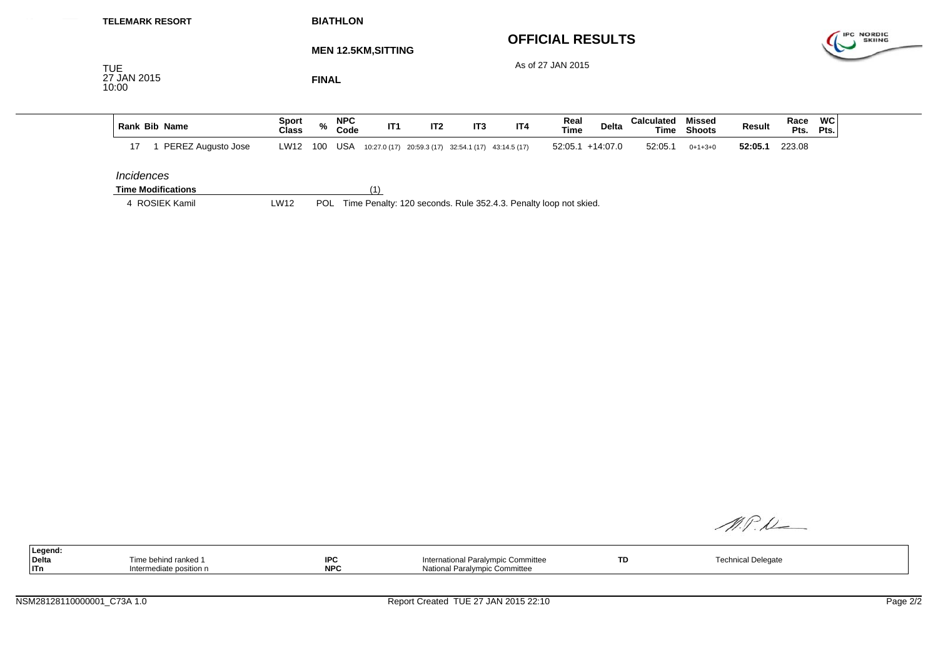| <b>TELEMARK RESORT</b>                      |                              |              | <b>BIATHLON</b>    |                            |                 |                 |                                                     |                                                                      |              |                    |                         |         |              |                   |                                    |
|---------------------------------------------|------------------------------|--------------|--------------------|----------------------------|-----------------|-----------------|-----------------------------------------------------|----------------------------------------------------------------------|--------------|--------------------|-------------------------|---------|--------------|-------------------|------------------------------------|
| <b>TUE</b>                                  |                              |              |                    | <b>MEN 12.5KM, SITTING</b> |                 |                 |                                                     | <b>OFFICIAL RESULTS</b><br>As of 27 JAN 2015                         |              |                    |                         |         |              |                   | <b>IPC NORDIC</b><br><b>SKIING</b> |
| 27 JAN 2015<br>10:00                        |                              | <b>FINAL</b> |                    |                            |                 |                 |                                                     |                                                                      |              |                    |                         |         |              |                   |                                    |
| Rank Bib Name                               | <b>Sport</b><br><b>Class</b> | $\%$         | <b>NPC</b><br>Code | IT <sub>1</sub>            | IT <sub>2</sub> | IT <sub>3</sub> | IT4                                                 | Real<br><b>Time</b>                                                  | <b>Delta</b> | Calculated<br>Time | Missed<br><b>Shoots</b> | Result  | Race<br>Pts. | <b>WC</b><br>Pts. |                                    |
| 17<br>PEREZ Augusto Jose                    | LW12                         | 100          | USA                |                            |                 |                 | 10:27.0 (17) 20:59.3 (17) 32:54.1 (17) 43:14.5 (17) | $52:05.1 + 14:07.0$                                                  |              | 52:05.1            | $0+1+3+0$               | 52:05.1 | 223.08       |                   |                                    |
| <i><b>Incidences</b></i>                    |                              |              |                    |                            |                 |                 |                                                     |                                                                      |              |                    |                         |         |              |                   |                                    |
| <b>Time Modifications</b><br>4 ROSIEK Kamil | LW12                         |              |                    | (1)                        |                 |                 |                                                     | POL Time Penalty: 120 seconds. Rule 352.4.3. Penalty loop not skied. |              |                    |                         |         |              |                   |                                    |
|                                             |                              |              |                    |                            |                 |                 |                                                     |                                                                      |              |                    |                         |         |              |                   |                                    |

M.P.K

|             | Legend: |                         |            |                                    |    |                           |
|-------------|---------|-------------------------|------------|------------------------------------|----|---------------------------|
|             | Delta   | Time behind ranked 1    | <b>IPC</b> | International Paralympic Committee | TD | <b>Technical Delegate</b> |
| <b>IITn</b> |         | Intermediate position n | <b>NPC</b> | National Paralympic Committee      |    |                           |
|             |         |                         |            |                                    |    |                           |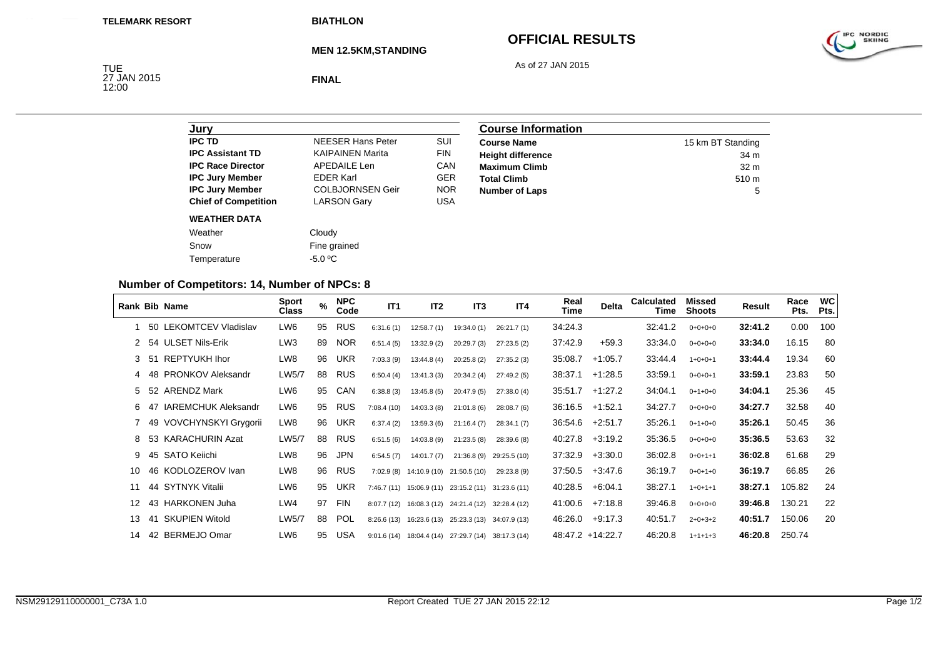**BIATHLON**

## **OFFICIAL RESULTS**

As of 27 JAN 2015



**MEN 12.5KM,STANDING**

TUE<br>27 JAN 2015<br>12:00

**FINAL**

| Jury                        |                          |            |
|-----------------------------|--------------------------|------------|
| <b>IPC TD</b>               | <b>NEESER Hans Peter</b> | SUI        |
| <b>IPC Assistant TD</b>     | <b>KAIPAINEN Marita</b>  | <b>FIN</b> |
| <b>IPC Race Director</b>    | APFDAIL F Len            | CAN        |
| <b>IPC Jury Member</b>      | <b>FDFR Karl</b>         | <b>GER</b> |
| <b>IPC Jury Member</b>      | <b>COLBJORNSEN Geir</b>  | <b>NOR</b> |
| <b>Chief of Competition</b> | <b>LARSON Gary</b>       | USA        |
| <b>WEATHER DATA</b>         |                          |            |
| Weather                     | Cloudy                   |            |
| Snow                        | Fine grained             |            |
| Temperature                 | $-5.0 \degree C$         |            |

| <b>Course Information</b> |                   |  |  |  |  |
|---------------------------|-------------------|--|--|--|--|
| <b>Course Name</b>        | 15 km BT Standing |  |  |  |  |
| <b>Height difference</b>  | 34 m              |  |  |  |  |
| <b>Maximum Climb</b>      | 32 <sub>m</sub>   |  |  |  |  |
| <b>Total Climb</b>        | 510 m             |  |  |  |  |
| <b>Number of Laps</b>     | 5                 |  |  |  |  |

### **Number of Competitors: 14, Number of NPCs: 8**

|    |     | <b>Rank Bib Name</b>        | <b>Sport</b><br>Class | $\%$ | <b>NPC</b><br>Code | IT1        | IT <sub>2</sub>          | IT <sub>3</sub>                                    | IT4                      | Real<br>Time | <b>Delta</b>     | <b>Calculated</b><br>Time | <b>Missed</b><br><b>Shoots</b> | Result  | Race<br>Pts. | <b>WC</b><br>Pts. |
|----|-----|-----------------------------|-----------------------|------|--------------------|------------|--------------------------|----------------------------------------------------|--------------------------|--------------|------------------|---------------------------|--------------------------------|---------|--------------|-------------------|
|    |     | 50 LEKOMTCEV Vladislav      | LW6                   | 95   | <b>RUS</b>         | 6:31.6(1)  | 12:58.7(1)               | 19:34.0 (1)                                        | 26:21.7(1)               | 34:24.3      |                  | 32:41.2                   | $0+0+0+0$                      | 32:41.2 | 0.00         | 100               |
|    |     | 54 ULSET Nils-Erik          | LW3                   | 89   | <b>NOR</b>         | 6:51.4(5)  | 13:32.9(2)               | 20:29.7(3)                                         | 27:23.5(2)               | 37:42.9      | $+59.3$          | 33:34.0                   | $0+0+0+0$                      | 33:34.0 | 16.15        | 80                |
| 3  | 51  | <b>REPTYUKH Ihor</b>        | LW8                   | 96   | <b>UKR</b>         | 7:03.3(9)  | 13:44.8(4)               | 20:25.8(2)                                         | 27:35.2(3)               | 35:08.7      | $+1:05.7$        | 33:44.4                   | $1+0+0+1$                      | 33:44.4 | 19.34        | 60                |
| 4  | 48  | PRONKOV Aleksandr           | LW5/7                 | 88   | RUS                | 6:50.4(4)  | 13:41.3(3)               | 20:34.2(4)                                         | 27:49.2(5)               | 38:37.1      | $+1:28.5$        | 33:59.1                   | $0+0+0+1$                      | 33:59.1 | 23.83        | 50                |
| 5  | -52 | <b>ARENDZ Mark</b>          | LW6                   | 95   | CAN                | 6:38.8(3)  | 13:45.8(5)               | 20:47.9(5)                                         | 27:38.0(4)               | 35.51.7      | $+1:27.2$        | 34:04.1                   | $0+1+0+0$                      | 34:04.1 | 25.36        | 45                |
| 6. | -47 | <b>IAREMCHUK Aleksandr</b>  | LW6                   | 95   | RUS                | 7:08.4(10) | 14:03.3(8)               | 21:01.8(6)                                         | 28:08.7(6)               | 36:16.5      | $+1.52.1$        | 34:27.7                   | $0+0+0+0$                      | 34:27.7 | 32.58        | 40                |
|    | 49  | <b>VOVCHYNSKYI Grygorii</b> | LW8                   | 96   | UKR                | 6:37.4(2)  | 13:59.3(6)               | 21:16.4(7)                                         | 28:34.1(7)               | 36:54.6      | $+2:51.7$        | 35:26.1                   | $0+1+0+0$                      | 35:26.1 | 50.45        | 36                |
| 8  | -53 | <b>KARACHURIN Azat</b>      | <b>LW5/7</b>          | 88   | <b>RUS</b>         | 6:51.5(6)  | 14:03.8(9)               | 21:23.5(8)                                         | 28:39.6 (8)              | 40:27.8      | $+3:19.2$        | 35:36.5                   | $0+0+0+0$                      | 35:36.5 | 53.63        | 32                |
| 9  | 45  | SATO Keiichi                | LW8                   | 96   | JPN                | 6:54.5(7)  | 14:01.7 (7)              |                                                    | 21:36.8 (9) 29:25.5 (10) | 37:32.9      | $+3.30.0$        | 36:02.8                   | $0+0+1+1$                      | 36:02.8 | 61.68        | 29                |
| 10 |     | 46 KODLOZEROV Ivan          | LW8                   | 96   | RUS                |            |                          | 7:02.9 (8) 14:10.9 (10) 21:50.5 (10)               | 29:23.8 (9)              | 37:50.5      | $+3.47.6$        | 36:19.7                   | $0+0+1+0$                      | 36:19.7 | 66.85        | 26                |
| 11 | 44  | <b>SYTNYK Vitalii</b>       | LW6                   | 95   | <b>UKR</b>         |            | 7:46.7 (11) 15:06.9 (11) | 23:15.2 (11) 31:23.6 (11)                          |                          | 40:28.5      | $+6:04.1$        | 38:27.1                   | $1+0+1+1$                      | 38:27.1 | 105.82       | 24                |
| 12 | 43  | <b>HARKONEN Juha</b>        | LW4                   | 97   | FIN                |            |                          | 8:07.7 (12) 16:08.3 (12) 24:21.4 (12) 32:28.4 (12) |                          | 41:00.6      | $+7:18.8$        | 39:46.8                   | $0+0+0+0$                      | 39:46.8 | 130.21       | 22                |
| 13 | 41  | <b>SKUPIEN Witold</b>       | LW5/7                 | 88   | <b>POL</b>         | 8:26.6(13) |                          | 16:23.6 (13) 25:23.3 (13) 34:07.9 (13)             |                          | 46:26.0      | $+9.17.3$        | 40:51.7                   | $2+0+3+2$                      | 40:51.7 | 150.06       | 20                |
| 14 |     | 42 BERMEJO Omar             | LW6                   | 95   | USA                |            |                          | 9:01.6 (14) 18:04.4 (14) 27:29.7 (14) 38:17.3 (14) |                          |              | 48:47.2 +14:22.7 | 46:20.8                   | $1+1+1+3$                      | 46:20.8 | 250.74       |                   |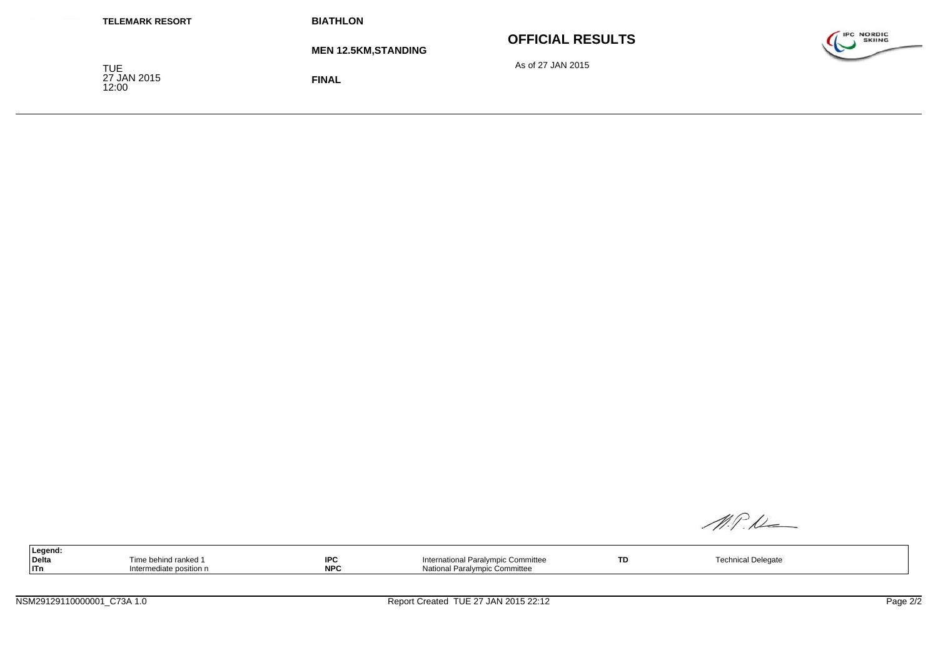| <b>TELEMARK RESORT</b>             | <b>BIATHLON</b>             |                         |                                         |
|------------------------------------|-----------------------------|-------------------------|-----------------------------------------|
|                                    | <b>MEN 12.5KM, STANDING</b> | <b>OFFICIAL RESULTS</b> | <b>IPC NORDIC</b><br><b>SKIING</b><br>Į |
| <b>TUE</b><br>27 JAN 2015<br>12:00 | <b>FINAL</b>                | As of 27 JAN 2015       |                                         |

 $M.P.L$ 

| Legend:    |                         |            |                                    |    |                    |
|------------|-------------------------|------------|------------------------------------|----|--------------------|
| Delta      | fime behind ranked 1    | <b>IPC</b> | International Paralympic Committee | TD | Technical Delegate |
| <b>ITn</b> | Intermediate position n | <b>NPC</b> | National Paralympic Committee      |    |                    |
|            |                         |            |                                    |    |                    |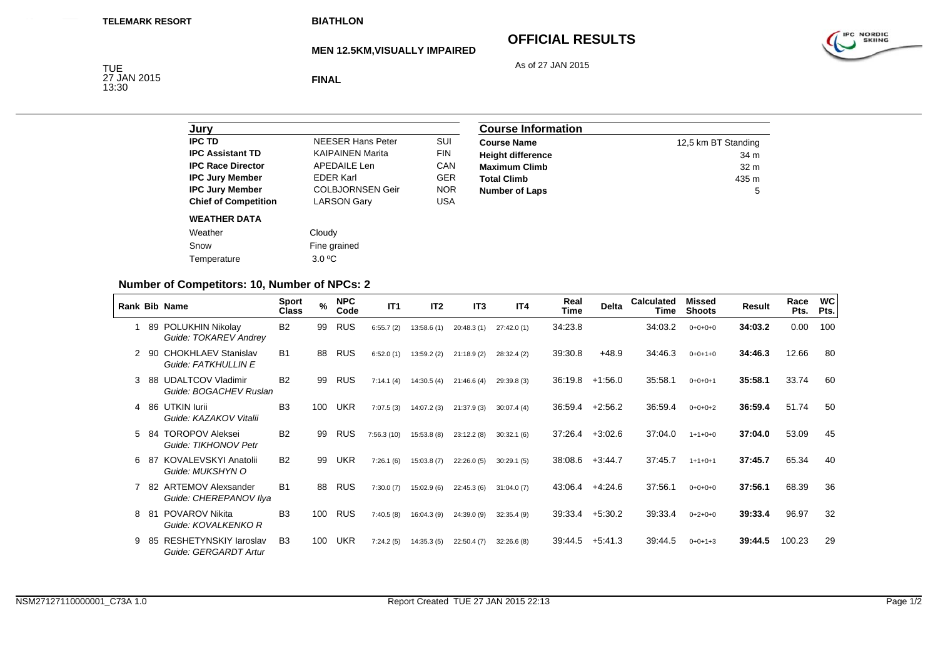# **OFFICIAL RESULTS**

As of 27 JAN 2015



**MEN 12.5KM,VISUALLY IMPAIRED**

TUE<br>27 JAN 2015<br>13:30

**FINAL**

| Jury                        |                          |            |
|-----------------------------|--------------------------|------------|
| <b>IPC TD</b>               | <b>NFFSFR Hans Peter</b> | SUI        |
| <b>IPC Assistant TD</b>     | <b>KAIPAINEN Marita</b>  | <b>FIN</b> |
| <b>IPC Race Director</b>    | APFDAIL F Len            | CAN        |
| <b>IPC Jury Member</b>      | <b>FDFR Karl</b>         | <b>GER</b> |
| <b>IPC Jury Member</b>      | <b>COLBJORNSEN Geir</b>  | <b>NOR</b> |
| <b>Chief of Competition</b> | <b>LARSON Gary</b>       | USA        |
| <b>WEATHER DATA</b>         |                          |            |
| Weather                     | Cloudy                   |            |
| Snow                        | Fine grained             |            |
| Temperature                 | 3.0 °C                   |            |
|                             |                          |            |

| <b>Course Information</b> |                     |  |  |  |  |
|---------------------------|---------------------|--|--|--|--|
| <b>Course Name</b>        | 12,5 km BT Standing |  |  |  |  |
| <b>Height difference</b>  | 34 m                |  |  |  |  |
| <b>Maximum Climb</b>      | 32 <sub>m</sub>     |  |  |  |  |
| <b>Total Climb</b>        | 435 m               |  |  |  |  |
| <b>Number of Laps</b>     | 5                   |  |  |  |  |

### **Number of Competitors: 10, Number of NPCs: 2**

| Rank Bib Name |     |                                                       | <b>Sport</b><br>Class | $\%$ | <b>NPC</b><br>Code | IT1        | IT <sub>2</sub> | IT <sub>3</sub> | IT4        | Real<br>Time | <b>Delta</b> | <b>Calculated</b><br>Time | <b>Missed</b><br><b>Shoots</b> | Result  | Race<br>Pts. | <b>WC</b><br>Pts. |
|---------------|-----|-------------------------------------------------------|-----------------------|------|--------------------|------------|-----------------|-----------------|------------|--------------|--------------|---------------------------|--------------------------------|---------|--------------|-------------------|
|               | 89  | POLUKHIN Nikolay<br>Guide: TOKAREV Andrey             | B <sub>2</sub>        | 99   | <b>RUS</b>         | 6:55.7(2)  | 13:58.6(1)      | 20:48.3(1)      | 27:42.0(1) | 34:23.8      |              | 34:03.2                   | $0+0+0+0$                      | 34:03.2 | 0.00         | 100               |
| 2             | 90  | <b>CHOKHLAEV Stanislav</b><br>Guide: FATKHULLIN E     | <b>B1</b>             | 88   | <b>RUS</b>         | 6:52.0(1)  | 13:59.2(2)      | 21:18.9(2)      | 28:32.4(2) | 39:30.8      | $+48.9$      | 34:46.3                   | $0+0+1+0$                      | 34:46.3 | 12.66        | 80                |
| 3             | 88  | <b>UDALTCOV Vladimir</b><br>Guide: BOGACHEV Ruslan    | <b>B2</b>             | 99   | <b>RUS</b>         | 7:14.1(4)  | 14:30.5(4)      | 21:46.6(4)      | 29:39.8(3) | 36.19.8      | $+1:56.0$    | 35:58.1                   | $0+0+0+1$                      | 35:58.1 | 33.74        | 60                |
| 4             | -86 | UTKIN lurii<br>Guide: KAZAKOV Vitalii                 | B <sub>3</sub>        | 100  | <b>UKR</b>         | 7:07.5(3)  | 14:07.2(3)      | 21:37.9(3)      | 30:07.4(4) | 36:59.4      | $+2:56.2$    | 36:59.4                   | $0+0+0+2$                      | 36:59.4 | 51.74        | 50                |
| 5.            | -84 | TOROPOV Aleksei<br>Guide: TIKHONOV Petr               | B <sub>2</sub>        | 99   | <b>RUS</b>         | 7:56.3(10) | 15:53.8(8)      | 23:12.2(8)      | 30:32.1(6) | 37:26.4      | $+3:02.6$    | 37:04.0                   | $1+1+0+0$                      | 37:04.0 | 53.09        | 45                |
| 6             | -87 | KOVALEVSKYI Anatolii<br>Guide: MUKSHYN O              | <b>B2</b>             | 99   | <b>UKR</b>         | 7:26.1(6)  | 15:03.8(7)      | 22:26.0(5)      | 30:29.1(5) | 38:08.6      | $+3:44.7$    | 37:45.7                   | $1+1+0+1$                      | 37:45.7 | 65.34        | 40                |
|               | 82  | <b>ARTEMOV Alexsander</b><br>Guide: CHEREPANOV IIya   | <b>B1</b>             | 88   | RUS                | 7:30.0(7)  | 15:02.9(6)      | 22:45.3(6)      | 31:04.0(7) | 43:06.4      | $+4.24.6$    | 37:56.1                   | $0+0+0+0$                      | 37:56.1 | 68.39        | 36                |
| 8             | -81 | <b>POVAROV Nikita</b><br>Guide: KOVALKENKO R          | B <sub>3</sub>        | 100  | <b>RUS</b>         | 7:40.5(8)  | 16:04.3(9)      | 24:39.0(9)      | 32:35.4(9) | 39:33.4      | $+5:30.2$    | 39:33.4                   | $0+2+0+0$                      | 39:33.4 | 96.97        | 32                |
| 9             |     | <b>RESHETYNSKIY laroslav</b><br>Guide: GERGARDT Artur | B <sub>3</sub>        | 100  | <b>UKR</b>         | 7:24.2(5)  | 14:35.3(5)      | 22:50.4(7)      | 32:26.6(8) | 39:44.5      | $+5:41.3$    | 39:44.5                   | $0+0+1+3$                      | 39:44.5 | 100.23       | 29                |